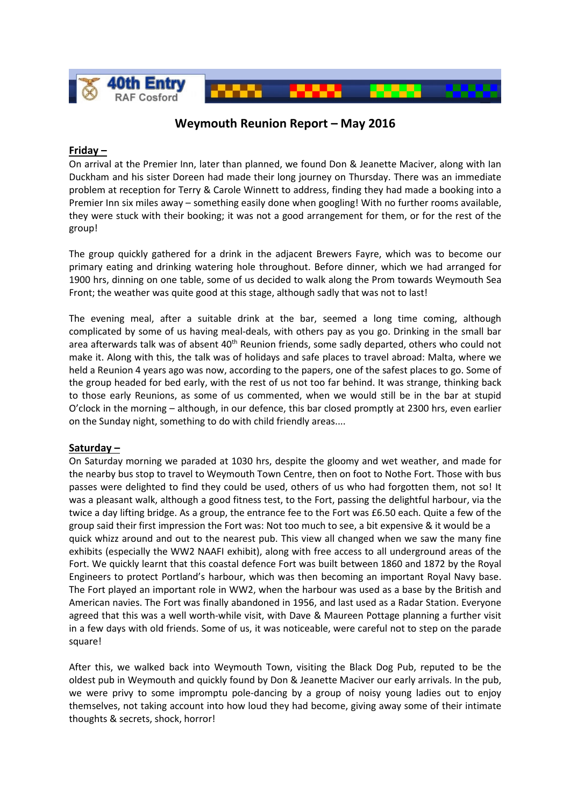

# **Weymouth Reunion Report – May 2016**

## **Friday –**

On arrival at the Premier Inn, later than planned, we found Don & Jeanette Maciver, along with Ian Duckham and his sister Doreen had made their long journey on Thursday. There was an immediate problem at reception for Terry & Carole Winnett to address, finding they had made a booking into a Premier Inn six miles away – something easily done when googling! With no further rooms available, they were stuck with their booking; it was not a good arrangement for them, or for the rest of the group!

The group quickly gathered for a drink in the adjacent Brewers Fayre, which was to become our primary eating and drinking watering hole throughout. Before dinner, which we had arranged for 1900 hrs, dinning on one table, some of us decided to walk along the Prom towards Weymouth Sea Front; the weather was quite good at this stage, although sadly that was not to last!

The evening meal, after a suitable drink at the bar, seemed a long time coming, although complicated by some of us having meal-deals, with others pay as you go. Drinking in the small bar area afterwards talk was of absent 40<sup>th</sup> Reunion friends, some sadly departed, others who could not make it. Along with this, the talk was of holidays and safe places to travel abroad: Malta, where we held a Reunion 4 years ago was now, according to the papers, one of the safest places to go. Some of the group headed for bed early, with the rest of us not too far behind. It was strange, thinking back to those early Reunions, as some of us commented, when we would still be in the bar at stupid O'clock in the morning – although, in our defence, this bar closed promptly at 2300 hrs, even earlier on the Sunday night, something to do with child friendly areas....

## **Saturday –**

On Saturday morning we paraded at 1030 hrs, despite the gloomy and wet weather, and made for the nearby bus stop to travel to Weymouth Town Centre, then on foot to Nothe Fort. Those with bus passes were delighted to find they could be used, others of us who had forgotten them, not so! It was a pleasant walk, although a good fitness test, to the Fort, passing the delightful harbour, via the twice a day lifting bridge. As a group, the entrance fee to the Fort was £6.50 each. Quite a few of the group said their first impression the Fort was: Not too much to see, a bit expensive & it would be a quick whizz around and out to the nearest pub. This view all changed when we saw the many fine exhibits (especially the WW2 NAAFI exhibit), along with free access to all underground areas of the Fort. We quickly learnt that this coastal defence Fort was built between 1860 and 1872 by the Royal Engineers to protect Portland's harbour, which was then becoming an important Royal Navy base. The Fort played an important role in WW2, when the harbour was used as a base by the British and American navies. The Fort was finally abandoned in 1956, and last used as a Radar Station. Everyone agreed that this was a well worth-while visit, with Dave & Maureen Pottage planning a further visit in a few days with old friends. Some of us, it was noticeable, were careful not to step on the parade square!

After this, we walked back into Weymouth Town, visiting the Black Dog Pub, reputed to be the oldest pub in Weymouth and quickly found by Don & Jeanette Maciver our early arrivals. In the pub, we were privy to some impromptu pole-dancing by a group of noisy young ladies out to enjoy themselves, not taking account into how loud they had become, giving away some of their intimate thoughts & secrets, shock, horror!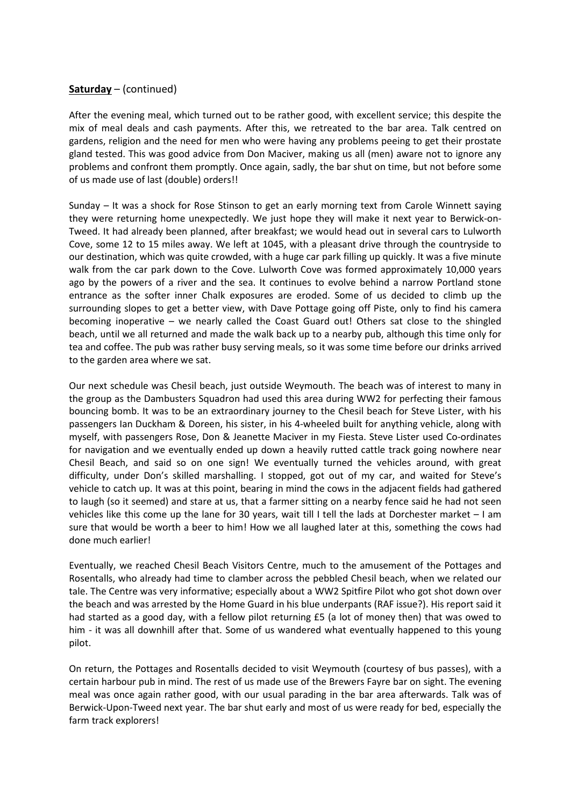## **Saturday** – (continued)

After the evening meal, which turned out to be rather good, with excellent service; this despite the mix of meal deals and cash payments. After this, we retreated to the bar area. Talk centred on gardens, religion and the need for men who were having any problems peeing to get their prostate gland tested. This was good advice from Don Maciver, making us all (men) aware not to ignore any problems and confront them promptly. Once again, sadly, the bar shut on time, but not before some of us made use of last (double) orders!!

Sunday – It was a shock for Rose Stinson to get an early morning text from Carole Winnett saying they were returning home unexpectedly. We just hope they will make it next year to Berwick-on-Tweed. It had already been planned, after breakfast; we would head out in several cars to Lulworth Cove, some 12 to 15 miles away. We left at 1045, with a pleasant drive through the countryside to our destination, which was quite crowded, with a huge car park filling up quickly. It was a five minute walk from the car park down to the Cove. Lulworth Cove was formed approximately 10,000 years ago by the powers of a river and the sea. It continues to evolve behind a narrow Portland stone entrance as the softer inner Chalk exposures are eroded. Some of us decided to climb up the surrounding slopes to get a better view, with Dave Pottage going off Piste, only to find his camera becoming inoperative – we nearly called the Coast Guard out! Others sat close to the shingled beach, until we all returned and made the walk back up to a nearby pub, although this time only for tea and coffee. The pub was rather busy serving meals, so it was some time before our drinks arrived to the garden area where we sat.

Our next schedule was Chesil beach, just outside Weymouth. The beach was of interest to many in the group as the Dambusters Squadron had used this area during WW2 for perfecting their famous bouncing bomb. It was to be an extraordinary journey to the Chesil beach for Steve Lister, with his passengers Ian Duckham & Doreen, his sister, in his 4-wheeled built for anything vehicle, along with myself, with passengers Rose, Don & Jeanette Maciver in my Fiesta. Steve Lister used Co-ordinates for navigation and we eventually ended up down a heavily rutted cattle track going nowhere near Chesil Beach, and said so on one sign! We eventually turned the vehicles around, with great difficulty, under Don's skilled marshalling. I stopped, got out of my car, and waited for Steve's vehicle to catch up. It was at this point, bearing in mind the cows in the adjacent fields had gathered to laugh (so it seemed) and stare at us, that a farmer sitting on a nearby fence said he had not seen vehicles like this come up the lane for 30 years, wait till I tell the lads at Dorchester market – I am sure that would be worth a beer to him! How we all laughed later at this, something the cows had done much earlier!

Eventually, we reached Chesil Beach Visitors Centre, much to the amusement of the Pottages and Rosentalls, who already had time to clamber across the pebbled Chesil beach, when we related our tale. The Centre was very informative; especially about a WW2 Spitfire Pilot who got shot down over the beach and was arrested by the Home Guard in his blue underpants (RAF issue?). His report said it had started as a good day, with a fellow pilot returning £5 (a lot of money then) that was owed to him - it was all downhill after that. Some of us wandered what eventually happened to this young pilot.

On return, the Pottages and Rosentalls decided to visit Weymouth (courtesy of bus passes), with a certain harbour pub in mind. The rest of us made use of the Brewers Fayre bar on sight. The evening meal was once again rather good, with our usual parading in the bar area afterwards. Talk was of Berwick-Upon-Tweed next year. The bar shut early and most of us were ready for bed, especially the farm track explorers!